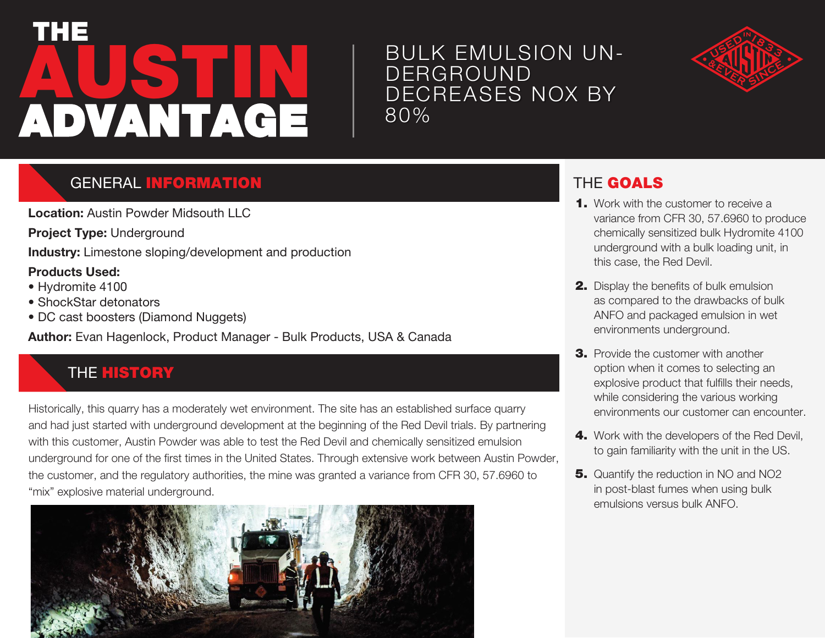# **AUSTIN** THE ADVANTAGE

## BULK EMULSION UN-**DERGROUND** DECREASES NOX BY 80%



### **GENERAL INFORMATION**

**Location:** Austin Powder Midsouth LLC

**Project Type:** Underground

**Industry:** Limestone sloping/development and production

#### **Products Used:**

- Hydromite 4100
- ShockStar detonators
- DC cast boosters (Diamond Nuggets)

**Author:** Evan Hagenlock, Product Manager - Bulk Products, USA & Canada

## **THE HISTORY**

Historically, this quarry has a moderately wet environment. The site has an established surface quarry and had just started with underground development at the beginning of the Red Devil trials. By partnering with this customer, Austin Powder was able to test the Red Devil and chemically sensitized emulsion underground for one of the first times in the United States. Through extensive work between Austin Powder, the customer, and the regulatory authorities, the mine was granted a variance from CFR 30, 57.6960 to "mix" explosive material underground.



## THE GOALS

- 1. Work with the customer to receive a variance from CFR 30, 57.6960 to produce chemically sensitized bulk Hydromite 4100 underground with a bulk loading unit, in this case, the Red Devil.
- 2. Display the benefits of bulk emulsion as compared to the drawbacks of bulk ANFO and packaged emulsion in wet environments underground.
- **3.** Provide the customer with another option when it comes to selecting an explosive product that fulfills their needs, while considering the various working environments our customer can encounter.
- 4. Work with the developers of the Red Devil, to gain familiarity with the unit in the US.
- **5.** Quantify the reduction in NO and NO2 in post-blast fumes when using bulk emulsions versus bulk ANFO.